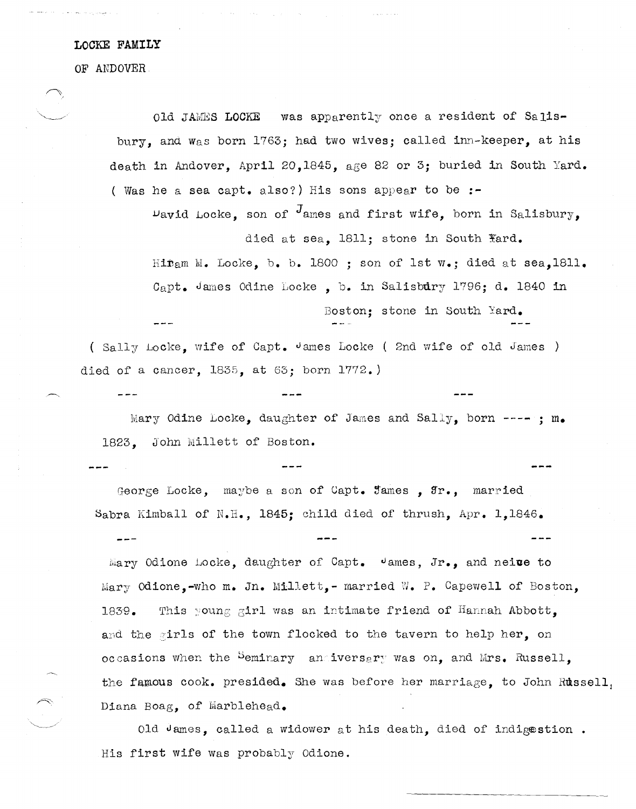## **LOCKE FAMILY**

OF ANDOVER.

 $QId$  JAMES LOCKE was apparently once a resident of Salisbury, and Was born 1763; had two wives; called inn-keeper, at his death in Andover, April 20,1845, age 82 or 3; buried in South Yard. ( Was he a sea capt. also?) His sons appear to be **:-**

 $\nu$ avid Locke, son of  $J$ ames and first wife, born in Salisbury, died at sea, 1811; stone in South Yard.

Hiram M. Locke, b. b. 1800 ; son of 1st  $w_{\bullet}$ ; died at sea,1811. Capt. James Odine Locke, b. in Salisbury 1796; d. 1840 in Boston; stone in South Yard.

( Sally Locke, wife of Capt. James Locke ( 2nd wife of old James ) died of a cancer, 1835, at 63; born 1772.)

Mary Odine Locke, daughter of James and Sally, born  $---$ ; m. 1823. John Millett of Boston.

George Locke, maybe a son of Capt. James,  $rr.$ , married Sabra Kimball of N.H., 1845; child died of thrush, Apr. 1,1846.

Mary Odione Locke, daughter of Capt. James, Jr., and neive to hlary Odione,-who m. In. Millett,- married *vi.* P. Capewell of Boston, 1839. This young girl was an intimate friend of Hannah Abbott. and the girls of the town flocked to the tavern to help her. on occasions when the Seminary andiversary was on, and Mrs. Russell. the famous cook. presided. She was before her marriage, to John Russell, Diana Boag, of Marblehead.

Old James, called a widower at his death, died of indigestion. His first wife was probably Odione.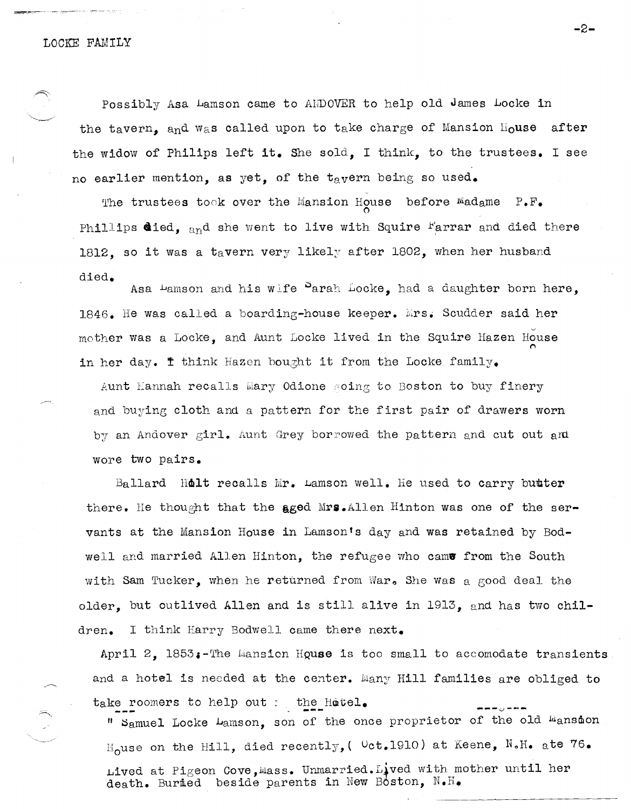Possibly Asa Lamson came to ANDOVER to help old James Locke in the tavern, and was called upon to take charge of Mansion House after the widow of Philips left it. She sold, I think, to the trustees. I see no earlier mention, as yet, of the tavern being so used.

The trustees took over the Mansion House before Madame P.F. Phillips died, and she went to live with Squire Farrar and died there 1812, so it was a tavern very likely after 1802, when her husband died.

Asa Lamson and his wife Parah Locke, had a daughter born here, 1846. He was called a boarding-house keeper. Mrs. Scudder said her mother was a Locke, and Aunt Locke lived in the Squire Hazen House in her day. I think Hazen bought it from the Locke family.

Aunt Hannah recalls Mary Odione soing to Boston to buy finery and buying cloth and a pattern for the first pair of drawers worn by an Andover girl. Aunt Grey borrowed the pattern and cut out and wore two pairs.

Ballard Holt recalls Mr. Lamson well. He used to carry butter there. He thought that the aged Mrs. Allen Hinton was one of the servants at the Mansion House in Lamson's day and was retained by Bodwell and married Allen Hinton, the refugee who came from the South with Sam Tucker, when he returned from War. She was a good deal the older, but outlived Allen and is still alive in 1913, and has two chil-I think Harry Bodwell came there next. dren.

April 2,  $1853$ :-The Mansion House is too small to accomodate transients and a hotel is needed at the center. Many Hill families are obliged to take roomers to help out  $\varepsilon$  the Hotel.

" Samuel Locke Lamson, son of the once proprietor of the old Mansion  $\text{H}_0$ use on the Hill, died recently, (  $\text{Oct.1910}$ ) at Keene, N.H. ate 76. Lived at Pigeon Cove, Mass. Unmarried. Lived with mother until her death. Buried beside parents in New Boston, N.H.